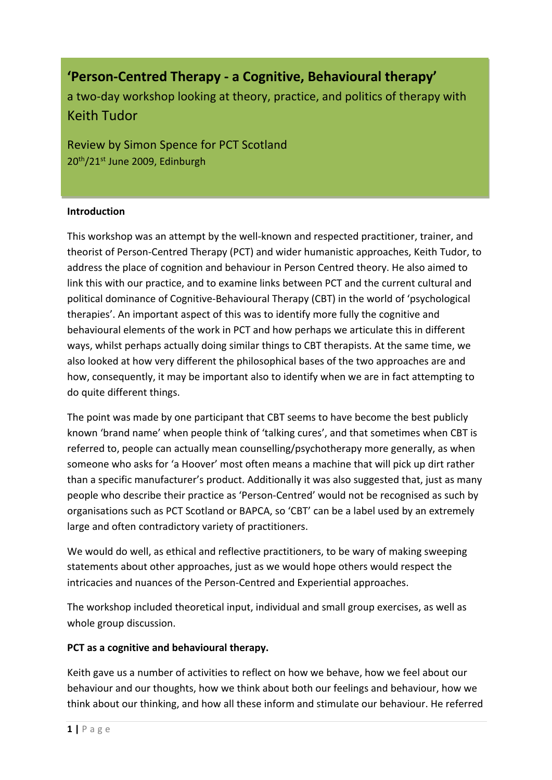**'Person-Centred Therapy - a Cognitive, Behavioural therapy'**

a two-day workshop looking at theory, practice, and politics of therapy with Keith Tudor

Review by Simon Spence for PCT Scotland 20<sup>th</sup>/21<sup>st</sup> June 2009, Edinburgh

#### **Introduction**

This workshop was an attempt by the well-known and respected practitioner, trainer, and theorist of Person-Centred Therapy (PCT) and wider humanistic approaches, Keith Tudor, to address the place of cognition and behaviour in Person Centred theory. He also aimed to link this with our practice, and to examine links between PCT and the current cultural and political dominance of Cognitive-Behavioural Therapy (CBT) in the world of 'psychological therapies'. An important aspect of this was to identify more fully the cognitive and behavioural elements of the work in PCT and how perhaps we articulate this in different ways, whilst perhaps actually doing similar things to CBT therapists. At the same time, we also looked at how very different the philosophical bases of the two approaches are and how, consequently, it may be important also to identify when we are in fact attempting to do quite different things.

The point was made by one participant that CBT seems to have become the best publicly known 'brand name' when people think of 'talking cures', and that sometimes when CBT is referred to, people can actually mean counselling/psychotherapy more generally, as when someone who asks for 'a Hoover' most often means a machine that will pick up dirt rather than a specific manufacturer's product. Additionally it was also suggested that, just as many people who describe their practice as 'Person-Centred' would not be recognised as such by organisations such as PCT Scotland or BAPCA, so 'CBT' can be a label used by an extremely large and often contradictory variety of practitioners.

We would do well, as ethical and reflective practitioners, to be wary of making sweeping statements about other approaches, just as we would hope others would respect the intricacies and nuances of the Person-Centred and Experiential approaches.

The workshop included theoretical input, individual and small group exercises, as well as whole group discussion.

## **PCT as a cognitive and behavioural therapy.**

Keith gave us a number of activities to reflect on how we behave, how we feel about our behaviour and our thoughts, how we think about both our feelings and behaviour, how we think about our thinking, and how all these inform and stimulate our behaviour. He referred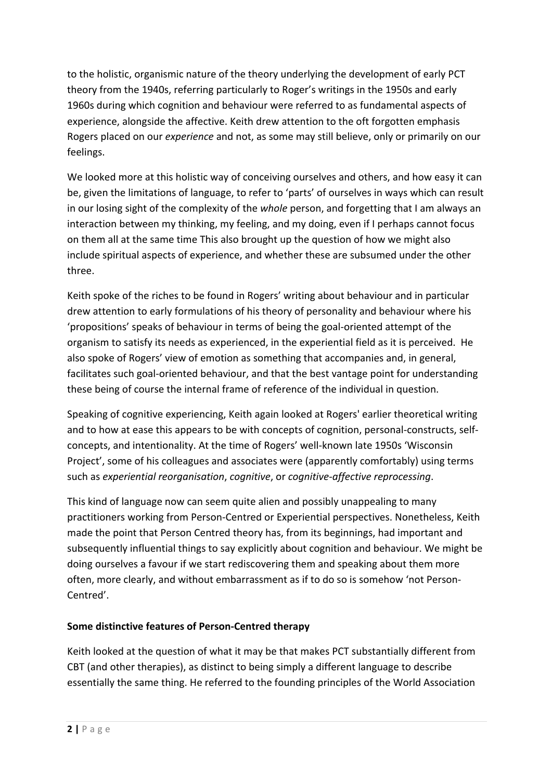to the holistic, organismic nature of the theory underlying the development of early PCT theory from the 1940s, referring particularly to Roger's writings in the 1950s and early 1960s during which cognition and behaviour were referred to as fundamental aspects of experience, alongside the affective. Keith drew attention to the oft forgotten emphasis Rogers placed on our *experience* and not, as some may still believe, only or primarily on our feelings.

We looked more at this holistic way of conceiving ourselves and others, and how easy it can be, given the limitations of language, to refer to 'parts' of ourselves in ways which can result in our losing sight of the complexity of the *whole* person, and forgetting that I am always an interaction between my thinking, my feeling, and my doing, even if I perhaps cannot focus on them all at the same time This also brought up the question of how we might also include spiritual aspects of experience, and whether these are subsumed under the other three.

Keith spoke of the riches to be found in Rogers' writing about behaviour and in particular drew attention to early formulations of his theory of personality and behaviour where his 'propositions' speaks of behaviour in terms of being the goal-oriented attempt of the organism to satisfy its needs as experienced, in the experiential field as it is perceived. He also spoke of Rogers' view of emotion as something that accompanies and, in general, facilitates such goal-oriented behaviour, and that the best vantage point for understanding these being of course the internal frame of reference of the individual in question.

Speaking of cognitive experiencing, Keith again looked at Rogers' earlier theoretical writing and to how at ease this appears to be with concepts of cognition, personal-constructs, selfconcepts, and intentionality. At the time of Rogers' well-known late 1950s 'Wisconsin Project', some of his colleagues and associates were (apparently comfortably) using terms such as *experiential reorganisation*, *cognitive*, or *cognitive-affective reprocessing*.

This kind of language now can seem quite alien and possibly unappealing to many practitioners working from Person-Centred or Experiential perspectives. Nonetheless, Keith made the point that Person Centred theory has, from its beginnings, had important and subsequently influential things to say explicitly about cognition and behaviour. We might be doing ourselves a favour if we start rediscovering them and speaking about them more often, more clearly, and without embarrassment as if to do so is somehow 'not Person-Centred'.

# **Some distinctive features of Person-Centred therapy**

Keith looked at the question of what it may be that makes PCT substantially different from CBT (and other therapies), as distinct to being simply a different language to describe essentially the same thing. He referred to the founding principles of the World Association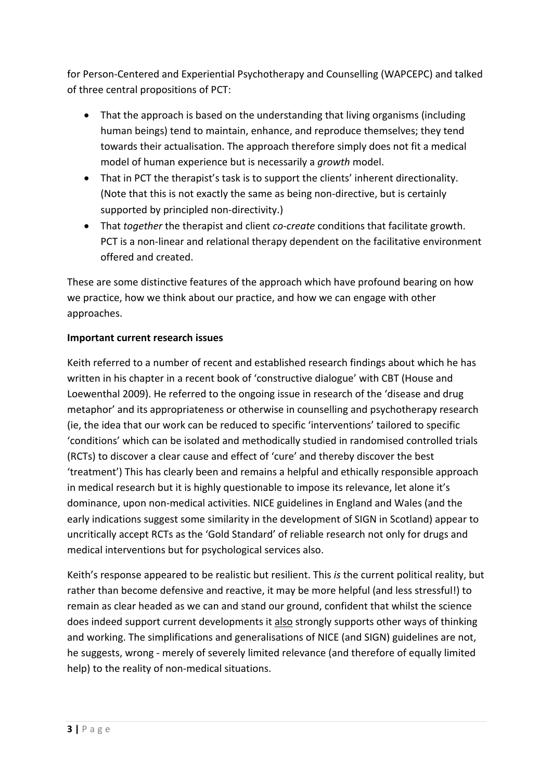for Person-Centered and Experiential Psychotherapy and Counselling (WAPCEPC) and talked of three central propositions of PCT:

- That the approach is based on the understanding that living organisms (including human beings) tend to maintain, enhance, and reproduce themselves; they tend towards their actualisation. The approach therefore simply does not fit a medical model of human experience but is necessarily a *growth* model.
- That in PCT the therapist's task is to support the clients' inherent directionality. (Note that this is not exactly the same as being non-directive, but is certainly supported by principled non-directivity.)
- That *together* the therapist and client *co-create* conditions that facilitate growth. PCT is a non-linear and relational therapy dependent on the facilitative environment offered and created.

These are some distinctive features of the approach which have profound bearing on how we practice, how we think about our practice, and how we can engage with other approaches.

# **Important current research issues**

Keith referred to a number of recent and established research findings about which he has written in his chapter in a recent book of 'constructive dialogue' with CBT (House and Loewenthal 2009). He referred to the ongoing issue in research of the 'disease and drug metaphor' and its appropriateness or otherwise in counselling and psychotherapy research (ie, the idea that our work can be reduced to specific 'interventions' tailored to specific 'conditions' which can be isolated and methodically studied in randomised controlled trials (RCTs) to discover a clear cause and effect of 'cure' and thereby discover the best 'treatment') This has clearly been and remains a helpful and ethically responsible approach in medical research but it is highly questionable to impose its relevance, let alone it's dominance, upon non-medical activities. NICE guidelines in England and Wales (and the early indications suggest some similarity in the development of SIGN in Scotland) appear to uncritically accept RCTs as the 'Gold Standard' of reliable research not only for drugs and medical interventions but for psychological services also.

Keith's response appeared to be realistic but resilient. This *is* the current political reality, but rather than become defensive and reactive, it may be more helpful (and less stressful!) to remain as clear headed as we can and stand our ground, confident that whilst the science does indeed support current developments it also strongly supports other ways of thinking and working. The simplifications and generalisations of NICE (and SIGN) guidelines are not, he suggests, wrong - merely of severely limited relevance (and therefore of equally limited help) to the reality of non-medical situations.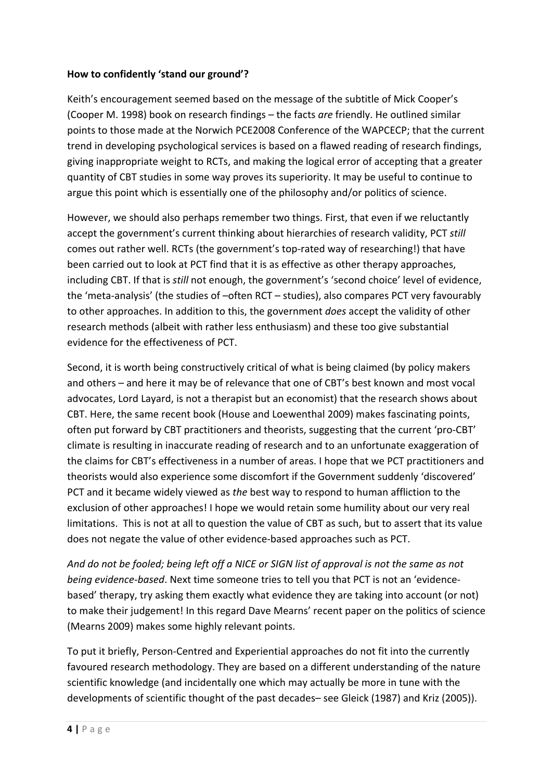## **How to confidently 'stand our ground'?**

Keith's encouragement seemed based on the message of the subtitle of Mick Cooper's (Cooper M. 1998) book on research findings – the facts *are* friendly. He outlined similar points to those made at the Norwich PCE2008 Conference of the WAPCECP; that the current trend in developing psychological services is based on a flawed reading of research findings, giving inappropriate weight to RCTs, and making the logical error of accepting that a greater quantity of CBT studies in some way proves its superiority. It may be useful to continue to argue this point which is essentially one of the philosophy and/or politics of science.

However, we should also perhaps remember two things. First, that even if we reluctantly accept the government's current thinking about hierarchies of research validity, PCT *still* comes out rather well. RCTs (the government's top-rated way of researching!) that have been carried out to look at PCT find that it is as effective as other therapy approaches, including CBT. If that is *still* not enough, the government's 'second choice' level of evidence, the 'meta-analysis' (the studies of –often RCT – studies), also compares PCT very favourably to other approaches. In addition to this, the government *does* accept the validity of other research methods (albeit with rather less enthusiasm) and these too give substantial evidence for the effectiveness of PCT.

Second, it is worth being constructively critical of what is being claimed (by policy makers and others – and here it may be of relevance that one of CBT's best known and most vocal advocates, Lord Layard, is not a therapist but an economist) that the research shows about CBT. Here, the same recent book (House and Loewenthal 2009) makes fascinating points, often put forward by CBT practitioners and theorists, suggesting that the current 'pro-CBT' climate is resulting in inaccurate reading of research and to an unfortunate exaggeration of the claims for CBT's effectiveness in a number of areas. I hope that we PCT practitioners and theorists would also experience some discomfort if the Government suddenly 'discovered' PCT and it became widely viewed as *the* best way to respond to human affliction to the exclusion of other approaches! I hope we would retain some humility about our very real limitations. This is not at all to question the value of CBT as such, but to assert that its value does not negate the value of other evidence-based approaches such as PCT.

*And do not be fooled; being left off a NICE or SIGN list of approval is not the same as not being evidence-based*. Next time someone tries to tell you that PCT is not an 'evidencebased' therapy, try asking them exactly what evidence they are taking into account (or not) to make their judgement! In this regard Dave Mearns' recent paper on the politics of science (Mearns 2009) makes some highly relevant points.

To put it briefly, Person-Centred and Experiential approaches do not fit into the currently favoured research methodology. They are based on a different understanding of the nature scientific knowledge (and incidentally one which may actually be more in tune with the developments of scientific thought of the past decades– see Gleick (1987) and Kriz (2005)).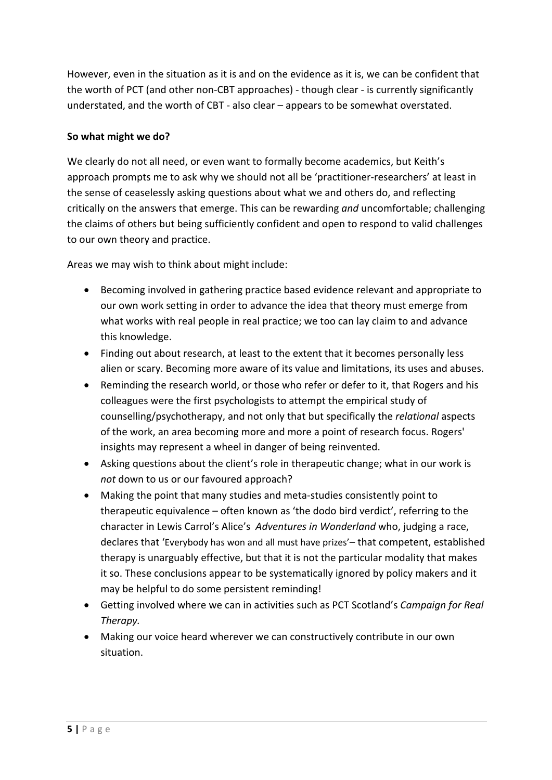However, even in the situation as it is and on the evidence as it is, we can be confident that the worth of PCT (and other non-CBT approaches) - though clear - is currently significantly understated, and the worth of CBT - also clear – appears to be somewhat overstated.

## **So what might we do?**

We clearly do not all need, or even want to formally become academics, but Keith's approach prompts me to ask why we should not all be 'practitioner-researchers' at least in the sense of ceaselessly asking questions about what we and others do, and reflecting critically on the answers that emerge. This can be rewarding *and* uncomfortable; challenging the claims of others but being sufficiently confident and open to respond to valid challenges to our own theory and practice.

Areas we may wish to think about might include:

- Becoming involved in gathering practice based evidence relevant and appropriate to our own work setting in order to advance the idea that theory must emerge from what works with real people in real practice; we too can lay claim to and advance this knowledge.
- Finding out about research, at least to the extent that it becomes personally less alien or scary. Becoming more aware of its value and limitations, its uses and abuses.
- Reminding the research world, or those who refer or defer to it, that Rogers and his colleagues were the first psychologists to attempt the empirical study of counselling/psychotherapy, and not only that but specifically the *relational* aspects of the work, an area becoming more and more a point of research focus. Rogers' insights may represent a wheel in danger of being reinvented.
- Asking questions about the client's role in therapeutic change; what in our work is *not* down to us or our favoured approach?
- Making the point that many studies and meta-studies consistently point to therapeutic equivalence – often known as 'the dodo bird verdict', referring to the character in Lewis Carrol's Alice's *Adventures in Wonderland* who, judging a race, declares that 'Everybody has won and all must have prizes'– that competent, established therapy is unarguably effective, but that it is not the particular modality that makes it so. These conclusions appear to be systematically ignored by policy makers and it may be helpful to do some persistent reminding!
- Getting involved where we can in activities such as PCT Scotland's *Campaign for Real Therapy.*
- Making our voice heard wherever we can constructively contribute in our own situation.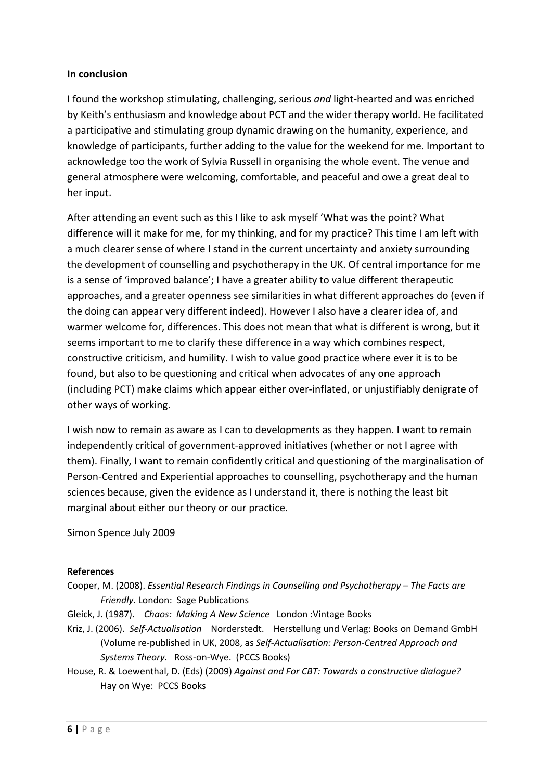#### **In conclusion**

I found the workshop stimulating, challenging, serious *and* light-hearted and was enriched by Keith's enthusiasm and knowledge about PCT and the wider therapy world. He facilitated a participative and stimulating group dynamic drawing on the humanity, experience, and knowledge of participants, further adding to the value for the weekend for me. Important to acknowledge too the work of Sylvia Russell in organising the whole event. The venue and general atmosphere were welcoming, comfortable, and peaceful and owe a great deal to her input.

After attending an event such as this I like to ask myself 'What was the point? What difference will it make for me, for my thinking, and for my practice? This time I am left with a much clearer sense of where I stand in the current uncertainty and anxiety surrounding the development of counselling and psychotherapy in the UK. Of central importance for me is a sense of 'improved balance'; I have a greater ability to value different therapeutic approaches, and a greater openness see similarities in what different approaches do (even if the doing can appear very different indeed). However I also have a clearer idea of, and warmer welcome for, differences. This does not mean that what is different is wrong, but it seems important to me to clarify these difference in a way which combines respect, constructive criticism, and humility. I wish to value good practice where ever it is to be found, but also to be questioning and critical when advocates of any one approach (including PCT) make claims which appear either over-inflated, or unjustifiably denigrate of other ways of working.

I wish now to remain as aware as I can to developments as they happen. I want to remain independently critical of government-approved initiatives (whether or not I agree with them). Finally, I want to remain confidently critical and questioning of the marginalisation of Person-Centred and Experiential approaches to counselling, psychotherapy and the human sciences because, given the evidence as I understand it, there is nothing the least bit marginal about either our theory or our practice.

Simon Spence July 2009

#### **References**

- Cooper, M. (2008). *Essential Research Findings in Counselling and Psychotherapy – The Facts are Friendly.* London: Sage Publications
- Gleick, J. (1987). *Chaos: Making A New Science* London :Vintage Books
- Kriz, J. (2006). *Self-Actualisation* Norderstedt. Herstellung und Verlag: Books on Demand GmbH (Volume re-published in UK, 2008, as *Self-Actualisation: Person-Centred Approach and Systems Theory.* Ross-on-Wye. (PCCS Books)
- House, R. & Loewenthal, D. (Eds) (2009) *Against and For CBT: Towards a constructive dialogue?* Hay on Wye: PCCS Books